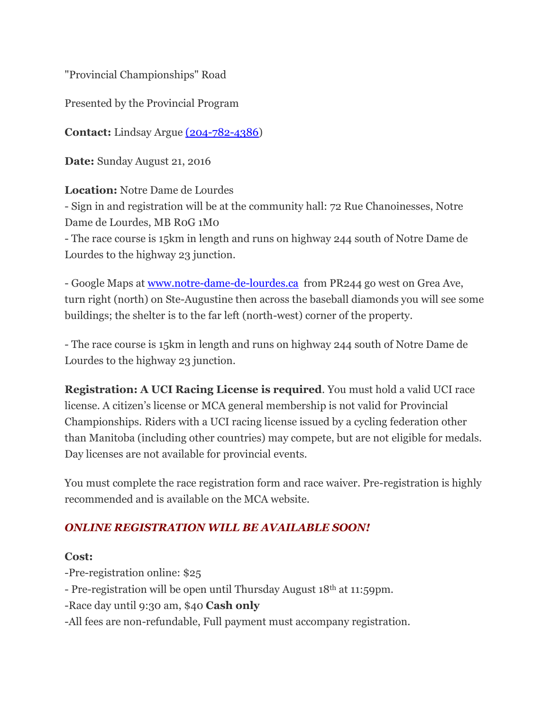"Provincial Championships" Road

Presented by the Provincial Program

**Contact:** Lindsay Argue [\(204-782-4386\)](tel:%28204-782-4386)

**Date:** Sunday August 21, 2016

## **Location:** Notre Dame de Lourdes

- Sign in and registration will be at the community hall: 72 Rue Chanoinesses, Notre Dame de Lourdes, MB R0G 1M0

- The race course is 15km in length and runs on highway 244 south of Notre Dame de Lourdes to the highway 23 junction.

- Google Maps at [www.notre-dame-de-lourdes.ca](http://www.notre-dame-de-lourdes.ca/) from PR244 go west on Grea Ave, turn right (north) on Ste-Augustine then across the baseball diamonds you will see some buildings; the shelter is to the far left (north-west) corner of the property.

- The race course is 15km in length and runs on highway 244 south of Notre Dame de Lourdes to the highway 23 junction.

**Registration: A UCI Racing License is required**. You must hold a valid UCI race license. A citizen's license or MCA general membership is not valid for Provincial Championships. Riders with a UCI racing license issued by a cycling federation other than Manitoba (including other countries) may compete, but are not eligible for medals. Day licenses are not available for provincial events.

You must complete the race registration form and race waiver. Pre-registration is highly recommended and is available on the MCA website.

# *ONLINE REGISTRATION WILL BE AVAILABLE SOON!*

#### **Cost:**

-Pre-registration online: \$25

- Pre-registration will be open until Thursday August 18th at 11:59pm.

-Race day until 9:30 am, \$40 **Cash only**

-All fees are non-refundable, Full payment must accompany registration.